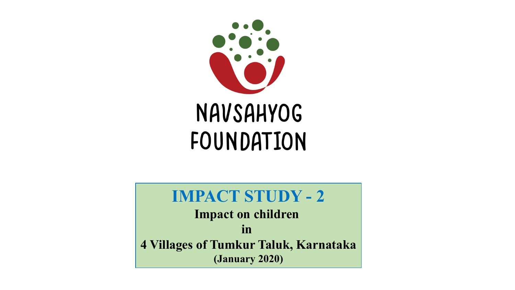

# **IMPACT STUDY - 2**

**Impact on children in 4 Villages of Tumkur Taluk, Karnataka (January 2020)**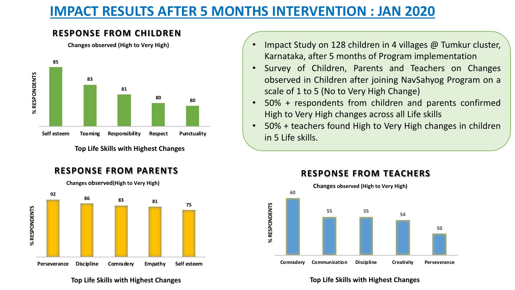# **IMPACT RESULTS AFTER 5 MONTHS INTERVENTION : JAN 2020**

# **RESPONSE FROM CHILDREN**

**Changes observed (High to Very High)**



**Top Life Skills with Highest Changes**

# **RESPONSE FROM PARENTS**



**Changes observed(High to Very High)**

- Impact Study on 128 children in 4 villages @ Tumkur cluster, Karnataka, after 5 months of Program implementation
- Survey of Children, Parents and Teachers on Changes observed in Children after joining NavSahyog Program on a scale of 1 to 5 (No to Very High Change)
- 50% + respondents from children and parents confirmed High to Very High changes across all Life skills
- 50% + teachers found High to Very High changes in children in 5 Life skills.



# **RESPONSE FROM TEACHERS**

#### **Top Life Skills with Highest Changes**

#### **Top Life Skills with Highest Changes**